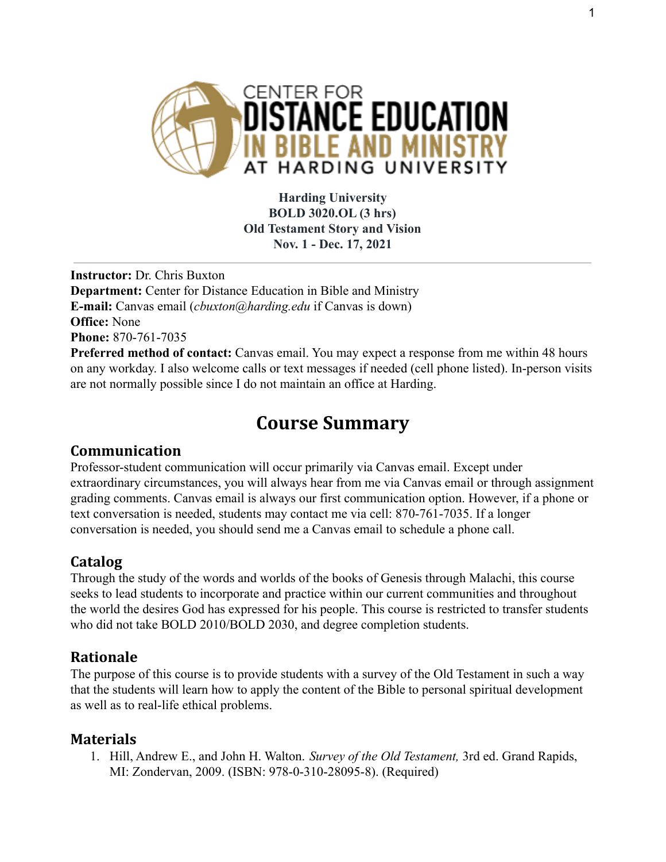

**Harding University BOLD 3020.OL (3 hrs) Old Testament Story and Vision Nov. 1 - Dec. 17, 2021**

**Instructor:** Dr. Chris Buxton **Department:** Center for Distance Education in Bible and Ministry **E-mail:** Canvas email (*cbuxton@harding.edu* if Canvas is down) **Office:** None **Phone:** 870-761-7035 **Preferred method of contact:** Canvas email. You may expect a response from me within 48 hours on any workday. I also welcome calls or text messages if needed (cell phone listed). In-person visits

are not normally possible since I do not maintain an office at Harding.

# **Course Summary**

# **Communication**

Professor-student communication will occur primarily via Canvas email. Except under extraordinary circumstances, you will always hear from me via Canvas email or through assignment grading comments. Canvas email is always our first communication option. However, if a phone or text conversation is needed, students may contact me via cell: 870-761-7035. If a longer conversation is needed, you should send me a Canvas email to schedule a phone call.

# **Catalog**

Through the study of the words and worlds of the books of Genesis through Malachi, this course seeks to lead students to incorporate and practice within our current communities and throughout the world the desires God has expressed for his people. This course is restricted to transfer students who did not take BOLD 2010/BOLD 2030, and degree completion students.

# **Rationale**

The purpose of this course is to provide students with a survey of the Old Testament in such a way that the students will learn how to apply the content of the Bible to personal spiritual development as well as to real-life ethical problems.

### **Materials**

1. Hill, Andrew E., and John H. Walton. *Survey of the Old Testament,* 3rd ed. Grand Rapids, MI: Zondervan, 2009. (ISBN: 978-0-310-28095-8). (Required)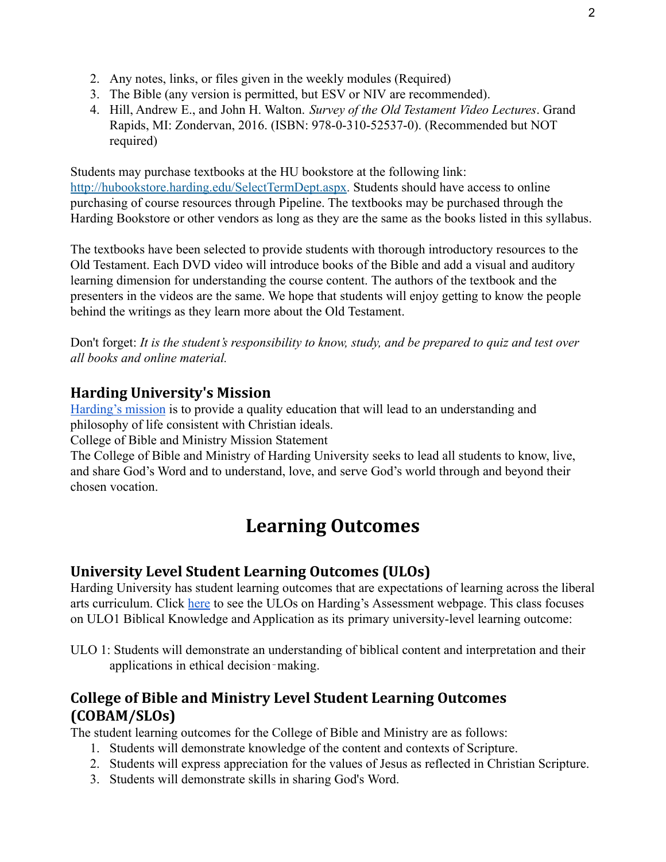- 2. Any notes, links, or files given in the weekly modules (Required)
- 3. The Bible (any version is permitted, but ESV or NIV are recommended).
- 4. Hill, Andrew E., and John H. Walton. *Survey of the Old Testament Video Lectures*. Grand Rapids, MI: Zondervan, 2016. (ISBN: 978-0-310-52537-0). (Recommended but NOT required)

Students may purchase textbooks at the HU bookstore at the following link: [http://hubookstore.harding.edu/SelectTermDept.aspx.](http://hubookstore.harding.edu/SelectTermDept.aspx) Students should have access to online purchasing of course resources through Pipeline. The textbooks may be purchased through the Harding Bookstore or other vendors as long as they are the same as the books listed in this syllabus.

The textbooks have been selected to provide students with thorough introductory resources to the Old Testament. Each DVD video will introduce books of the Bible and add a visual and auditory learning dimension for understanding the course content. The authors of the textbook and the presenters in the videos are the same. We hope that students will enjoy getting to know the people behind the writings as they learn more about the Old Testament.

Don't forget: *It is the student's responsibility to know, study, and be prepared to quiz and test over all books and online material.*

### **Harding University's Mission**

[Harding's mission](https://www.harding.edu/about/mission) is to provide a quality education that will lead to an understanding and philosophy of life consistent with Christian ideals.

College of Bible and Ministry Mission Statement

The College of Bible and Ministry of Harding University seeks to lead all students to know, live, and share God's Word and to understand, love, and serve God's world through and beyond their chosen vocation.

# **Learning Outcomes**

# **University Level Student Learning Outcomes (ULOs)**

Harding University has student learning outcomes that are expectations of learning across the liberal arts curriculum. Click [here](https://www.harding.edu/provost/assessment) to see the ULOs on Harding's Assessment webpage. This class focuses on ULO1 Biblical Knowledge and Application as its primary university-level learning outcome:

ULO 1: Students will demonstrate an understanding of biblical content and interpretation and their applications in ethical decision‐making.

# **College of Bible and Ministry Level Student Learning Outcomes (COBAM/SLOs)**

The student learning outcomes for the College of Bible and Ministry are as follows:

- 1. Students will demonstrate knowledge of the content and contexts of Scripture.
- 2. Students will express appreciation for the values of Jesus as reflected in Christian Scripture.
- 3. Students will demonstrate skills in sharing God's Word.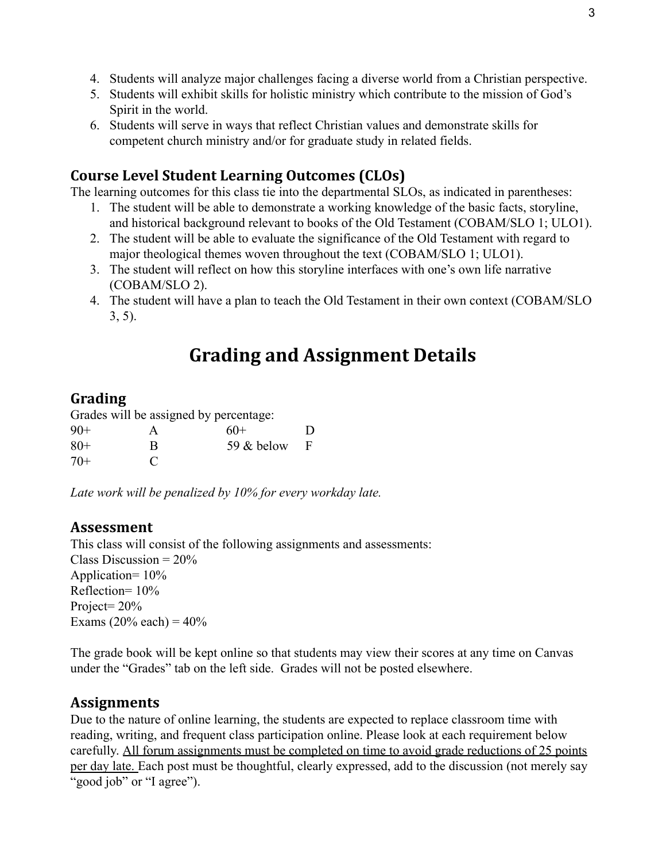- 4. Students will analyze major challenges facing a diverse world from a Christian perspective.
- 5. Students will exhibit skills for holistic ministry which contribute to the mission of God's Spirit in the world.
- 6. Students will serve in ways that reflect Christian values and demonstrate skills for competent church ministry and/or for graduate study in related fields.

### **Course Level Student Learning Outcomes (CLOs)**

The learning outcomes for this class tie into the departmental SLOs, as indicated in parentheses:

- 1. The student will be able to demonstrate a working knowledge of the basic facts, storyline, and historical background relevant to books of the Old Testament (COBAM/SLO 1; ULO1).
- 2. The student will be able to evaluate the significance of the Old Testament with regard to major theological themes woven throughout the text (COBAM/SLO 1; ULO1).
- 3. The student will reflect on how this storyline interfaces with one's own life narrative (COBAM/SLO 2).
- 4. The student will have a plan to teach the Old Testament in their own context (COBAM/SLO 3, 5).

# **Grading and Assignment Details**

#### **Grading**

Grades will be assigned by percentage:

| $90+$ |             | $60+$          | D |
|-------|-------------|----------------|---|
| $80+$ | R           | 59 $&$ below F |   |
| $70+$ | $\mathbf C$ |                |   |

*Late work will be penalized by 10% for every workday late.*

#### **Assessment**

This class will consist of the following assignments and assessments: Class Discussion =  $20\%$ Application= 10% Reflection= 10% Project=  $20\%$ Exams  $(20\% \text{ each}) = 40\%$ 

The grade book will be kept online so that students may view their scores at any time on Canvas under the "Grades" tab on the left side. Grades will not be posted elsewhere.

#### **Assignments**

Due to the nature of online learning, the students are expected to replace classroom time with reading, writing, and frequent class participation online. Please look at each requirement below carefully. All forum assignments must be completed on time to avoid grade reductions of 25 points per day late. Each post must be thoughtful, clearly expressed, add to the discussion (not merely say "good job" or "I agree").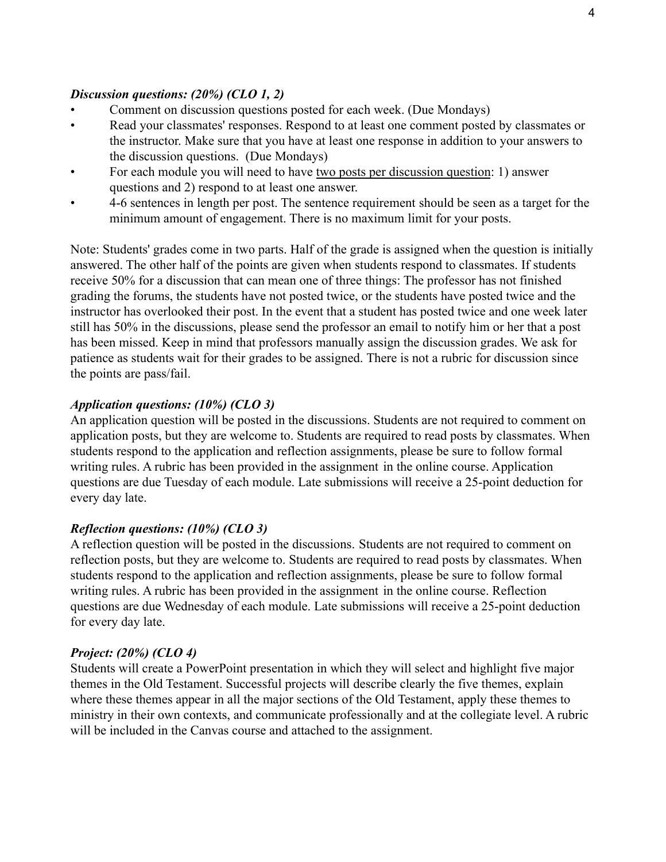#### *Discussion questions: (20%) (CLO 1, 2)*

- Comment on discussion questions posted for each week. (Due Mondays)
- Read your classmates' responses. Respond to at least one comment posted by classmates or the instructor. Make sure that you have at least one response in addition to your answers to the discussion questions. (Due Mondays)
- For each module you will need to have two posts per discussion question: 1) answer questions and 2) respond to at least one answer.
- 4-6 sentences in length per post. The sentence requirement should be seen as a target for the minimum amount of engagement. There is no maximum limit for your posts.

Note: Students' grades come in two parts. Half of the grade is assigned when the question is initially answered. The other half of the points are given when students respond to classmates. If students receive 50% for a discussion that can mean one of three things: The professor has not finished grading the forums, the students have not posted twice, or the students have posted twice and the instructor has overlooked their post. In the event that a student has posted twice and one week later still has 50% in the discussions, please send the professor an email to notify him or her that a post has been missed. Keep in mind that professors manually assign the discussion grades. We ask for patience as students wait for their grades to be assigned. There is not a rubric for discussion since the points are pass/fail.

#### *Application questions: (10%) (CLO 3)*

An application question will be posted in the discussions. Students are not required to comment on application posts, but they are welcome to. Students are required to read posts by classmates. When students respond to the application and reflection assignments, please be sure to follow formal writing rules. A rubric has been provided in the assignment in the online course. Application questions are due Tuesday of each module. Late submissions will receive a 25-point deduction for every day late.

#### *Reflection questions: (10%) (CLO 3)*

A reflection question will be posted in the discussions. Students are not required to comment on reflection posts, but they are welcome to. Students are required to read posts by classmates. When students respond to the application and reflection assignments, please be sure to follow formal writing rules. A rubric has been provided in the assignment in the online course. Reflection questions are due Wednesday of each module. Late submissions will receive a 25-point deduction for every day late.

#### *Project: (20%) (CLO 4)*

Students will create a PowerPoint presentation in which they will select and highlight five major themes in the Old Testament. Successful projects will describe clearly the five themes, explain where these themes appear in all the major sections of the Old Testament, apply these themes to ministry in their own contexts, and communicate professionally and at the collegiate level. A rubric will be included in the Canvas course and attached to the assignment.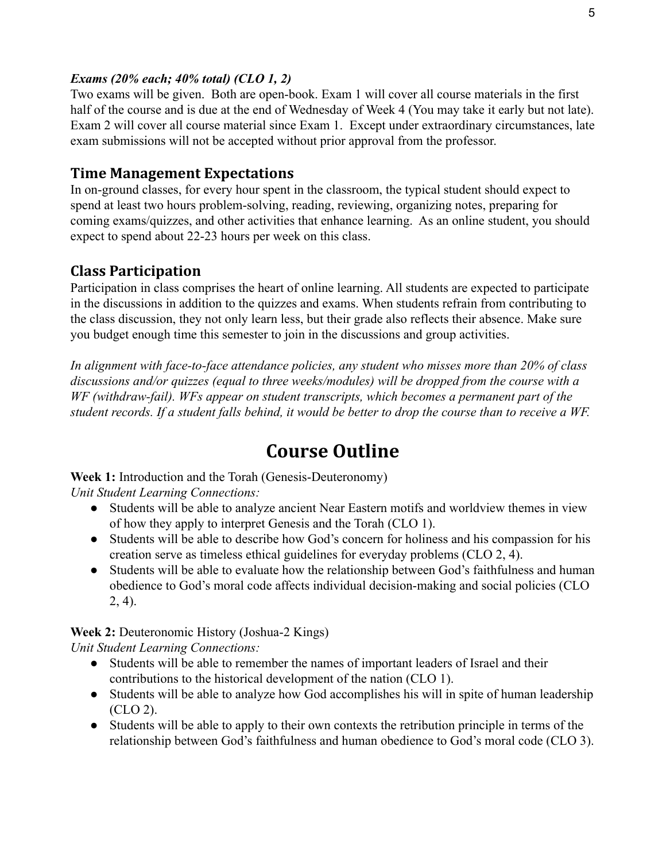#### *Exams (20% each; 40% total) (CLO 1, 2)*

Two exams will be given. Both are open-book. Exam 1 will cover all course materials in the first half of the course and is due at the end of Wednesday of Week 4 (You may take it early but not late). Exam 2 will cover all course material since Exam 1. Except under extraordinary circumstances, late exam submissions will not be accepted without prior approval from the professor.

## **Time Management Expectations**

In on-ground classes, for every hour spent in the classroom, the typical student should expect to spend at least two hours problem-solving, reading, reviewing, organizing notes, preparing for coming exams/quizzes, and other activities that enhance learning. As an online student, you should expect to spend about 22-23 hours per week on this class.

# **Class Participation**

Participation in class comprises the heart of online learning. All students are expected to participate in the discussions in addition to the quizzes and exams. When students refrain from contributing to the class discussion, they not only learn less, but their grade also reflects their absence. Make sure you budget enough time this semester to join in the discussions and group activities.

*In alignment with face-to-face attendance policies, any student who misses more than 20% of class discussions and/or quizzes (equal to three weeks/modules) will be dropped from the course with a WF (withdraw-fail). WFs appear on student transcripts, which becomes a permanent part of the student records. If a student falls behind, it would be better to drop the course than to receive a WF.*

# **Course Outline**

**Week 1:** Introduction and the Torah (Genesis-Deuteronomy)

*Unit Student Learning Connections:*

- Students will be able to analyze ancient Near Eastern motifs and worldview themes in view of how they apply to interpret Genesis and the Torah (CLO 1).
- Students will be able to describe how God's concern for holiness and his compassion for his creation serve as timeless ethical guidelines for everyday problems (CLO 2, 4).
- Students will be able to evaluate how the relationship between God's faithfulness and human obedience to God's moral code affects individual decision-making and social policies (CLO 2, 4).

**Week 2:** Deuteronomic History (Joshua-2 Kings) *Unit Student Learning Connections:*

- Students will be able to remember the names of important leaders of Israel and their contributions to the historical development of the nation (CLO 1).
- Students will be able to analyze how God accomplishes his will in spite of human leadership (CLO 2).
- Students will be able to apply to their own contexts the retribution principle in terms of the relationship between God's faithfulness and human obedience to God's moral code (CLO 3).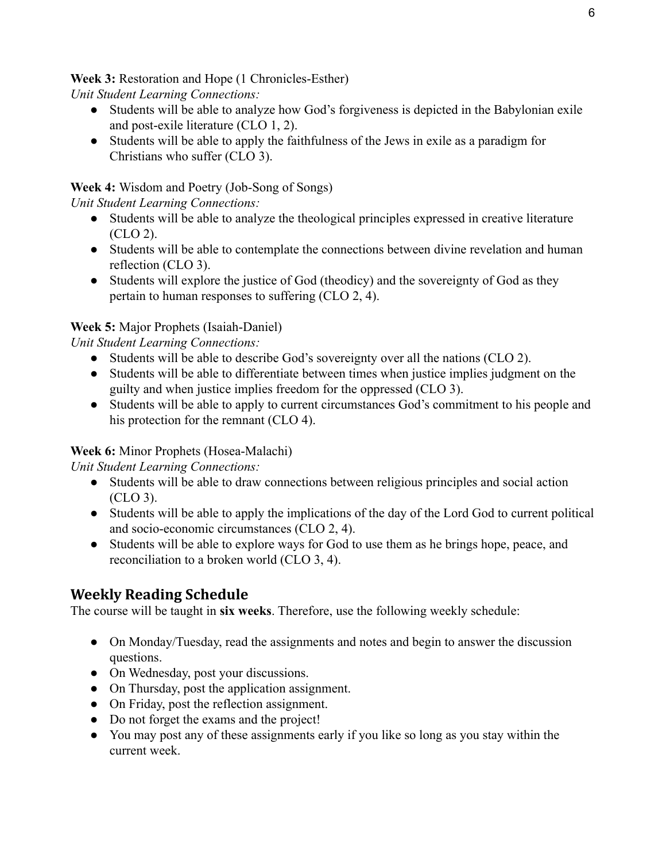**Week 3:** Restoration and Hope (1 Chronicles-Esther)

*Unit Student Learning Connections:*

- Students will be able to analyze how God's forgiveness is depicted in the Babylonian exile and post-exile literature (CLO 1, 2).
- Students will be able to apply the faithfulness of the Jews in exile as a paradigm for Christians who suffer (CLO 3).

**Week 4:** Wisdom and Poetry (Job-Song of Songs)

*Unit Student Learning Connections:*

- Students will be able to analyze the theological principles expressed in creative literature (CLO 2).
- Students will be able to contemplate the connections between divine revelation and human reflection (CLO 3).
- Students will explore the justice of God (theodicy) and the sovereignty of God as they pertain to human responses to suffering (CLO 2, 4).

### **Week 5:** Major Prophets (Isaiah-Daniel)

*Unit Student Learning Connections:*

- Students will be able to describe God's sovereignty over all the nations (CLO 2).
- Students will be able to differentiate between times when justice implies judgment on the guilty and when justice implies freedom for the oppressed (CLO 3).
- Students will be able to apply to current circumstances God's commitment to his people and his protection for the remnant (CLO 4).

### **Week 6:** Minor Prophets (Hosea-Malachi)

*Unit Student Learning Connections:*

- Students will be able to draw connections between religious principles and social action (CLO 3).
- Students will be able to apply the implications of the day of the Lord God to current political and socio-economic circumstances (CLO 2, 4).
- Students will be able to explore ways for God to use them as he brings hope, peace, and reconciliation to a broken world (CLO 3, 4).

# **Weekly Reading Schedule**

The course will be taught in **six weeks**. Therefore, use the following weekly schedule:

- On Monday/Tuesday, read the assignments and notes and begin to answer the discussion questions.
- On Wednesday, post your discussions.
- On Thursday, post the application assignment.
- On Friday, post the reflection assignment.
- Do not forget the exams and the project!
- You may post any of these assignments early if you like so long as you stay within the current week.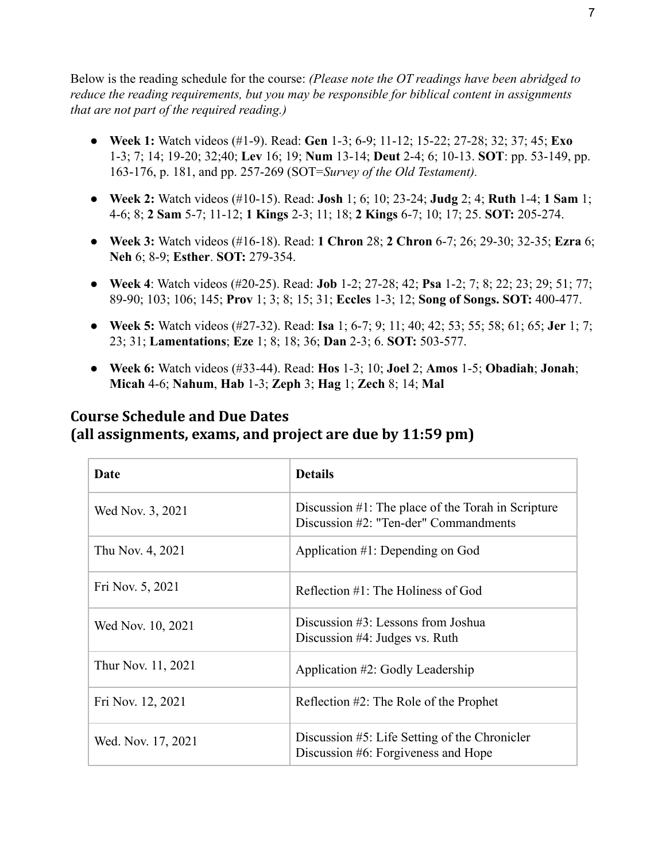Below is the reading schedule for the course: *(Please note the OT readings have been abridged to reduce the reading requirements, but you may be responsible for biblical content in assignments that are not part of the required reading.)*

- **Week 1:** Watch videos (#1-9). Read: **Gen** 1-3; 6-9; 11-12; 15-22; 27-28; 32; 37; 45; **Exo** 1-3; 7; 14; 19-20; 32;40; **Lev** 16; 19; **Num** 13-14; **Deut** 2-4; 6; 10-13. **SOT**: pp. 53-149, pp. 163-176, p. 181, and pp. 257-269 (SOT=*Survey of the Old Testament).*
- **Week 2:** Watch videos (#10-15). Read: **Josh** 1; 6; 10; 23-24; **Judg** 2; 4; **Ruth** 1-4; **1 Sam** 1; 4-6; 8; **2 Sam** 5-7; 11-12; **1 Kings** 2-3; 11; 18; **2 Kings** 6-7; 10; 17; 25. **SOT:** 205-274.
- **Week 3:** Watch videos (#16-18). Read: **1 Chron** 28; **2 Chron** 6-7; 26; 29-30; 32-35; **Ezra** 6; **Neh** 6; 8-9; **Esther**. **SOT:** 279-354.
- **Week 4**: Watch videos (#20-25). Read: **Job** 1-2; 27-28; 42; **Psa** 1-2; 7; 8; 22; 23; 29; 51; 77; 89-90; 103; 106; 145; **Prov** 1; 3; 8; 15; 31; **Eccles** 1-3; 12; **Song of Songs. SOT:** 400-477.
- **Week 5:** Watch videos (#27-32). Read: **Isa** 1; 6-7; 9; 11; 40; 42; 53; 55; 58; 61; 65; **Jer** 1; 7; 23; 31; **Lamentations**; **Eze** 1; 8; 18; 36; **Dan** 2-3; 6. **SOT:** 503-577.
- **Week 6:** Watch videos (#33-44). Read: **Hos** 1-3; 10; **Joel** 2; **Amos** 1-5; **Obadiah**; **Jonah**; **Micah** 4-6; **Nahum**, **Hab** 1-3; **Zeph** 3; **Hag** 1; **Zech** 8; 14; **Mal**

## **Course Schedule and Due Dates (all assignments, exams, and project are due by 11:59 pm)**

| Date               | <b>Details</b>                                                                                 |
|--------------------|------------------------------------------------------------------------------------------------|
| Wed Nov. 3, 2021   | Discussion $#1$ : The place of the Torah in Scripture<br>Discussion #2: "Ten-der" Commandments |
| Thu Nov. 4, 2021   | Application $#1$ : Depending on God                                                            |
| Fri Nov. 5, 2021   | Reflection $#1$ : The Holiness of God                                                          |
| Wed Nov. 10, 2021  | Discussion $#3$ : Lessons from Joshua<br>Discussion $#4$ : Judges vs. Ruth                     |
| Thur Nov. 11, 2021 | Application #2: Godly Leadership                                                               |
| Fri Nov. 12, 2021  | Reflection $#2$ : The Role of the Prophet                                                      |
| Wed. Nov. 17, 2021 | Discussion #5: Life Setting of the Chronicler<br>Discussion #6: Forgiveness and Hope           |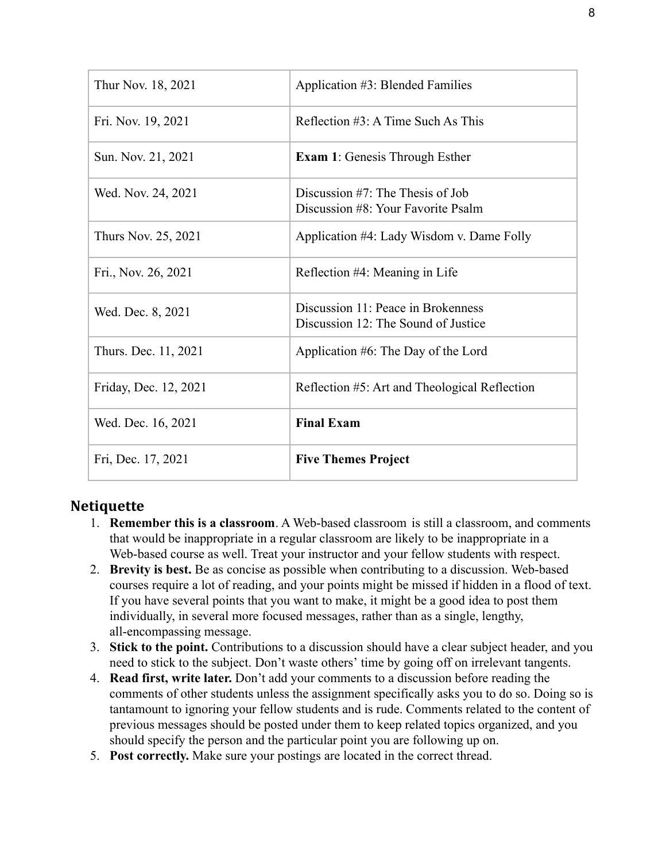| Thur Nov. 18, 2021    | Application #3: Blended Families                                          |
|-----------------------|---------------------------------------------------------------------------|
| Fri. Nov. 19, 2021    | Reflection #3: A Time Such As This                                        |
| Sun. Nov. 21, 2021    | <b>Exam 1:</b> Genesis Through Esther                                     |
| Wed. Nov. 24, 2021    | Discussion $#7$ : The Thesis of Job<br>Discussion #8: Your Favorite Psalm |
| Thurs Nov. 25, 2021   | Application #4: Lady Wisdom v. Dame Folly                                 |
| Fri., Nov. 26, 2021   | Reflection #4: Meaning in Life                                            |
| Wed. Dec. 8, 2021     | Discussion 11: Peace in Brokenness<br>Discussion 12: The Sound of Justice |
| Thurs. Dec. 11, 2021  | Application #6: The Day of the Lord                                       |
| Friday, Dec. 12, 2021 | Reflection #5: Art and Theological Reflection                             |
| Wed. Dec. 16, 2021    | <b>Final Exam</b>                                                         |
| Fri, Dec. 17, 2021    | <b>Five Themes Project</b>                                                |

### **Netiquette**

- 1. **Remember this is a classroom**. A Web-based classroom is still a classroom, and comments that would be inappropriate in a regular classroom are likely to be inappropriate in a Web-based course as well. Treat your instructor and your fellow students with respect.
- 2. **Brevity is best.** Be as concise as possible when contributing to a discussion. Web-based courses require a lot of reading, and your points might be missed if hidden in a flood of text. If you have several points that you want to make, it might be a good idea to post them individually, in several more focused messages, rather than as a single, lengthy, all-encompassing message.
- 3. **Stick to the point.** Contributions to a discussion should have a clear subject header, and you need to stick to the subject. Don't waste others' time by going off on irrelevant tangents.
- 4. **Read first, write later.** Don't add your comments to a discussion before reading the comments of other students unless the assignment specifically asks you to do so. Doing so is tantamount to ignoring your fellow students and is rude. Comments related to the content of previous messages should be posted under them to keep related topics organized, and you should specify the person and the particular point you are following up on.
- 5. **Post correctly.** Make sure your postings are located in the correct thread.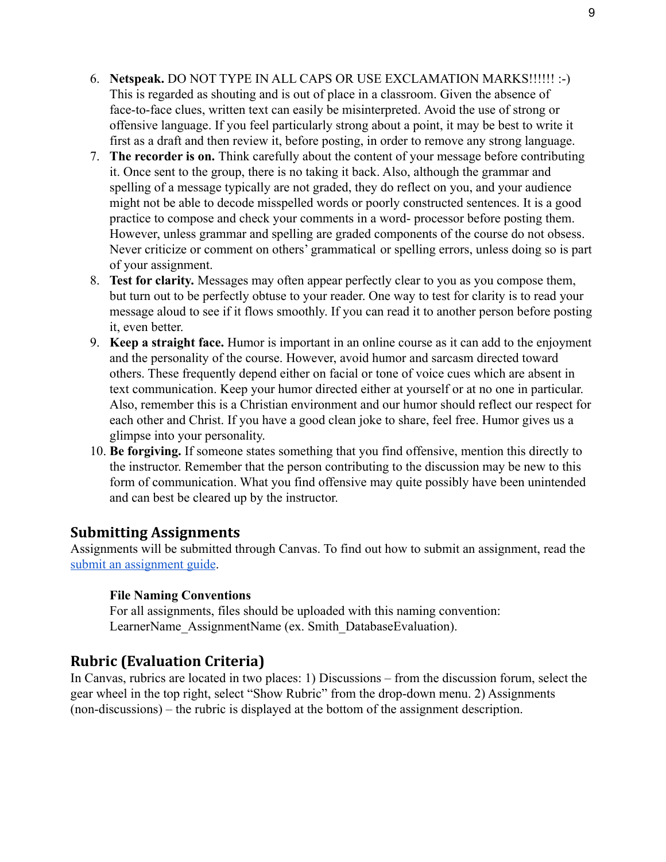- 6. **Netspeak.** DO NOT TYPE IN ALL CAPS OR USE EXCLAMATION MARKS!!!!!! :-) This is regarded as shouting and is out of place in a classroom. Given the absence of face-to-face clues, written text can easily be misinterpreted. Avoid the use of strong or offensive language. If you feel particularly strong about a point, it may be best to write it first as a draft and then review it, before posting, in order to remove any strong language.
- 7. **The recorder is on.** Think carefully about the content of your message before contributing it. Once sent to the group, there is no taking it back. Also, although the grammar and spelling of a message typically are not graded, they do reflect on you, and your audience might not be able to decode misspelled words or poorly constructed sentences. It is a good practice to compose and check your comments in a word- processor before posting them. However, unless grammar and spelling are graded components of the course do not obsess. Never criticize or comment on others' grammatical or spelling errors, unless doing so is part of your assignment.
- 8. **Test for clarity.** Messages may often appear perfectly clear to you as you compose them, but turn out to be perfectly obtuse to your reader. One way to test for clarity is to read your message aloud to see if it flows smoothly. If you can read it to another person before posting it, even better.
- 9. **Keep a straight face.** Humor is important in an online course as it can add to the enjoyment and the personality of the course. However, avoid humor and sarcasm directed toward others. These frequently depend either on facial or tone of voice cues which are absent in text communication. Keep your humor directed either at yourself or at no one in particular. Also, remember this is a Christian environment and our humor should reflect our respect for each other and Christ. If you have a good clean joke to share, feel free. Humor gives us a glimpse into your personality.
- 10. **Be forgiving.** If someone states something that you find offensive, mention this directly to the instructor. Remember that the person contributing to the discussion may be new to this form of communication. What you find offensive may quite possibly have been unintended and can best be cleared up by the instructor.

### **Submitting Assignments**

Assignments will be submitted through Canvas. To find out how to submit an assignment, read th[e](https://community.canvaslms.com/t5/Student-Guide/How-do-I-submit-an-online-assignment/ta-p/503) [submit an assignment guide](https://community.canvaslms.com/t5/Student-Guide/How-do-I-submit-an-online-assignment/ta-p/503).

#### **File Naming Conventions**

For all assignments, files should be uploaded with this naming convention: LearnerName AssignmentName (ex. Smith DatabaseEvaluation).

### **Rubric (Evaluation Criteria)**

In Canvas, rubrics are located in two places: 1) Discussions – from the discussion forum, select the gear wheel in the top right, select "Show Rubric" from the drop-down menu. 2) Assignments (non-discussions) – the rubric is displayed at the bottom of the assignment description.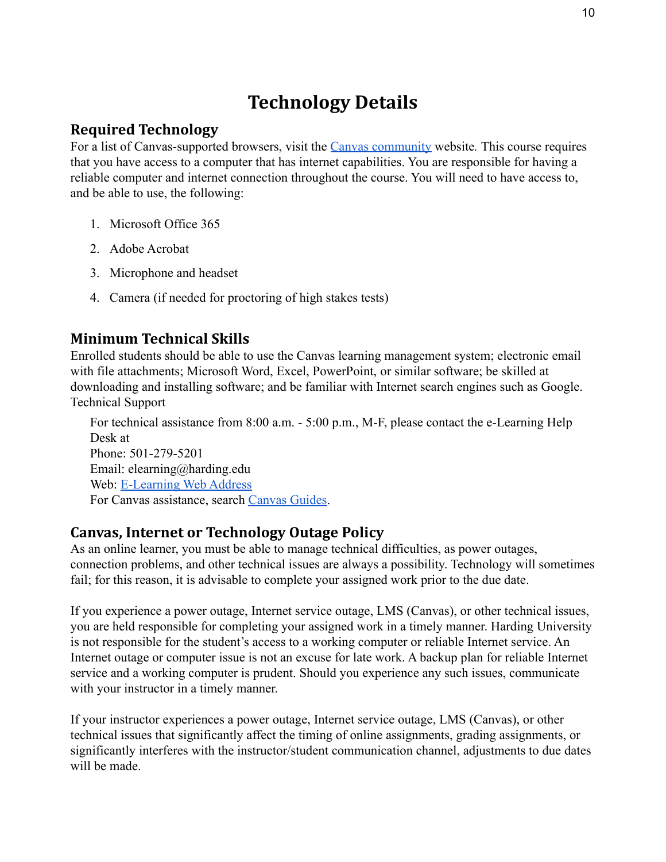# **Technology Details**

## **Required Technology**

For a list of Canvas-supported browsers, visit the [Canvas community](https://community.canvaslms.com/docs/doc-10720) website*.* This course requires that you have access to a computer that has internet capabilities. You are responsible for having a reliable computer and internet connection throughout the course. You will need to have access to, and be able to use, the following:

- 1. Microsoft Office 365
- 2. Adobe Acrobat
- 3. Microphone and headset
- 4. Camera (if needed for proctoring of high stakes tests)

# **Minimum Technical Skills**

Enrolled students should be able to use the Canvas learning management system; electronic email with file attachments; Microsoft Word, Excel, PowerPoint, or similar software; be skilled at downloading and installing software; and be familiar with Internet search engines such as Google. Technical Support

For technical assistance from 8:00 a.m. - 5:00 p.m., M-F, please contact the e-Learning Help Desk at Phone: 501-279-5201 Email: elearning@harding.edu Web: [E-Learning Web Address](http://www.harding.edu/elm) For Canvas assistance, search [Canvas Guides.](https://guides.instructure.com/m/8470)

# **Canvas, Internet or Technology Outage Policy**

As an online learner, you must be able to manage technical difficulties, as power outages, connection problems, and other technical issues are always a possibility. Technology will sometimes fail; for this reason, it is advisable to complete your assigned work prior to the due date.

If you experience a power outage, Internet service outage, LMS (Canvas), or other technical issues, you are held responsible for completing your assigned work in a timely manner. Harding University is not responsible for the student's access to a working computer or reliable Internet service. An Internet outage or computer issue is not an excuse for late work. A backup plan for reliable Internet service and a working computer is prudent. Should you experience any such issues, communicate with your instructor in a timely manner.

If your instructor experiences a power outage, Internet service outage, LMS (Canvas), or other technical issues that significantly affect the timing of online assignments, grading assignments, or significantly interferes with the instructor/student communication channel, adjustments to due dates will be made.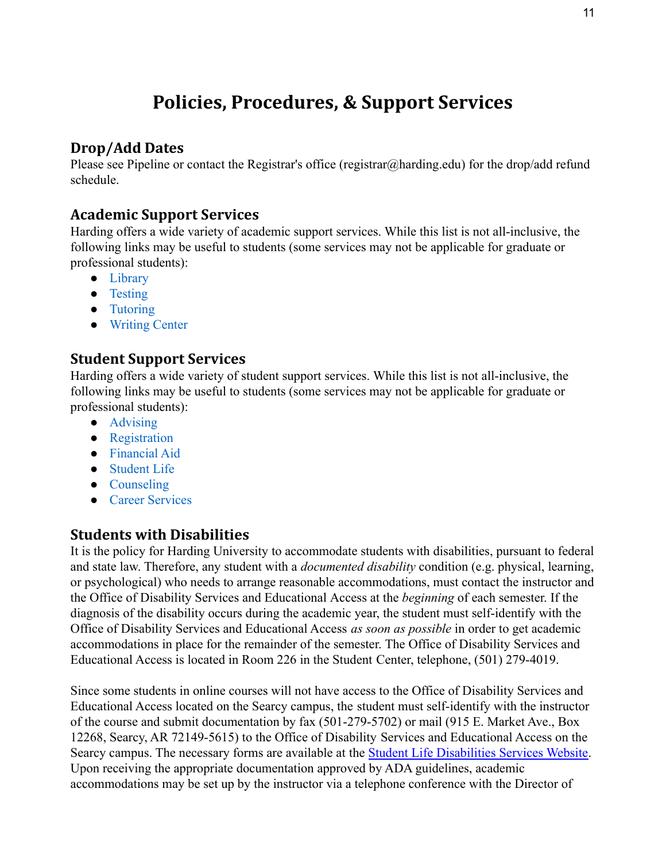# **Policies, Procedures, & Support Services**

## **Drop/Add Dates**

Please see Pipeline or contact the Registrar's office (registrar@harding.edu) for the drop/add refund schedule.

### **Academic Support Services**

Harding offers a wide variety of academic support services. While this list is not all-inclusive, the following links may be useful to students (some services may not be applicable for graduate or professional students):

- [Library](https://library.harding.edu/index)
- [Testing](https://www.harding.edu/testing)
- [Tutoring](https://www.harding.edu/academics/academic-support/arc)
- [Writing Center](https://www.harding.edu/academics/colleges-departments/arts-humanities/english/writing-lab)

#### **Student Support Services**

Harding offers a wide variety of student support services. While this list is not all-inclusive, the following links may be useful to students (some services may not be applicable for graduate or professional students):

- [Advising](https://catalog.harding.edu/preview_program.php?catoid=46&poid=6988&hl=%22advising%22&returnto=search)
- [Registration](https://www.harding.edu/registrar/registration)
- [Financial Aid](https://www.harding.edu/finaid)
- [Student Life](https://www.harding.edu/student-life)
- [Counseling](https://www.harding.edu/academics/academic-support/counseling-center)
- [Career Services](https://www.harding.edu/academics/academic-support/career)

# **Students with Disabilities**

It is the policy for Harding University to accommodate students with disabilities, pursuant to federal and state law. Therefore, any student with a *documented disability* condition (e.g. physical, learning, or psychological) who needs to arrange reasonable accommodations, must contact the instructor and the Office of Disability Services and Educational Access at the *beginning* of each semester. If the diagnosis of the disability occurs during the academic year, the student must self-identify with the Office of Disability Services and Educational Access *as soon as possible* in order to get academic accommodations in place for the remainder of the semester. The Office of Disability Services and Educational Access is located in Room 226 in the Student Center, telephone, (501) 279-4019.

Since some students in online courses will not have access to the Office of Disability Services and Educational Access located on the Searcy campus, the student must self-identify with the instructor of the course and submit documentation by fax (501-279-5702) or mail (915 E. Market Ave., Box 12268, Searcy, AR 72149-5615) to the Office of Disability Services and Educational Access on the Searcy campus. The necessary forms are available at the **Student Life Disabilities Services Website**. Upon receiving the appropriate documentation approved by ADA guidelines, academic accommodations may be set up by the instructor via a telephone conference with the Director of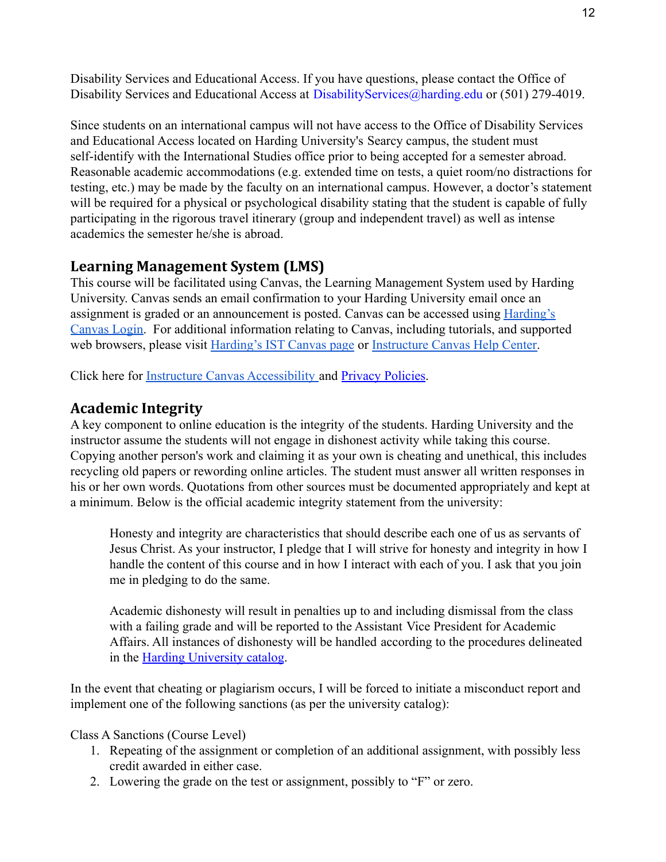Disability Services and Educational Access. If you have questions, please contact the Office of Disability Services and Educational Access at Disability Services @harding.edu or (501) 279-4019.

Since students on an international campus will not have access to the Office of Disability Services and Educational Access located on Harding University's Searcy campus, the student must self-identify with the International Studies office prior to being accepted for a semester abroad. Reasonable academic accommodations (e.g. extended time on tests, a quiet room/no distractions for testing, etc.) may be made by the faculty on an international campus. However, a doctor's statement will be required for a physical or psychological disability stating that the student is capable of fully participating in the rigorous travel itinerary (group and independent travel) as well as intense academics the semester he/she is abroad.

# **Learning Management System (LMS)**

This course will be facilitated using Canvas, the Learning Management System used by Harding University. Canvas sends an email confirmation to your Harding University email once an assignment is graded or an announcement is posted. Canvas can be accessed using [Harding's](https://harding.instructure.com/login) [Canvas Login.](https://harding.instructure.com/login) For additional information relating to Canvas, including tutorials, and supported web browsers, please visit [Harding's IST Canvas page](https://www.harding.edu/ist/canvas) or [Instructure Canvas Help Center.](https://community.canvaslms.com/docs/DOC-10461-supported-web-browsers)

Click here for [Instructure Canvas Accessibility](https://www.canvaslms.com/accessibility) and [Privacy Policies](https://www.instructure.com/policies/privacy).

# **Academic Integrity**

A key component to online education is the integrity of the students. Harding University and the instructor assume the students will not engage in dishonest activity while taking this course. Copying another person's work and claiming it as your own is cheating and unethical, this includes recycling old papers or rewording online articles. The student must answer all written responses in his or her own words. Quotations from other sources must be documented appropriately and kept at a minimum. Below is the official academic integrity statement from the university:

Honesty and integrity are characteristics that should describe each one of us as servants of Jesus Christ. As your instructor, I pledge that I will strive for honesty and integrity in how I handle the content of this course and in how I interact with each of you. I ask that you join me in pledging to do the same.

Academic dishonesty will result in penalties up to and including dismissal from the class with a failing grade and will be reported to the Assistant Vice President for Academic Affairs. All instances of dishonesty will be handled according to the procedures delineated in the [Harding University catalog](https://catalog.harding.edu/content.php?catoid=46&navoid=3659).

In the event that cheating or plagiarism occurs, I will be forced to initiate a misconduct report and implement one of the following sanctions (as per the university catalog):

Class A Sanctions (Course Level)

- 1. Repeating of the assignment or completion of an additional assignment, with possibly less credit awarded in either case.
- 2. Lowering the grade on the test or assignment, possibly to "F" or zero.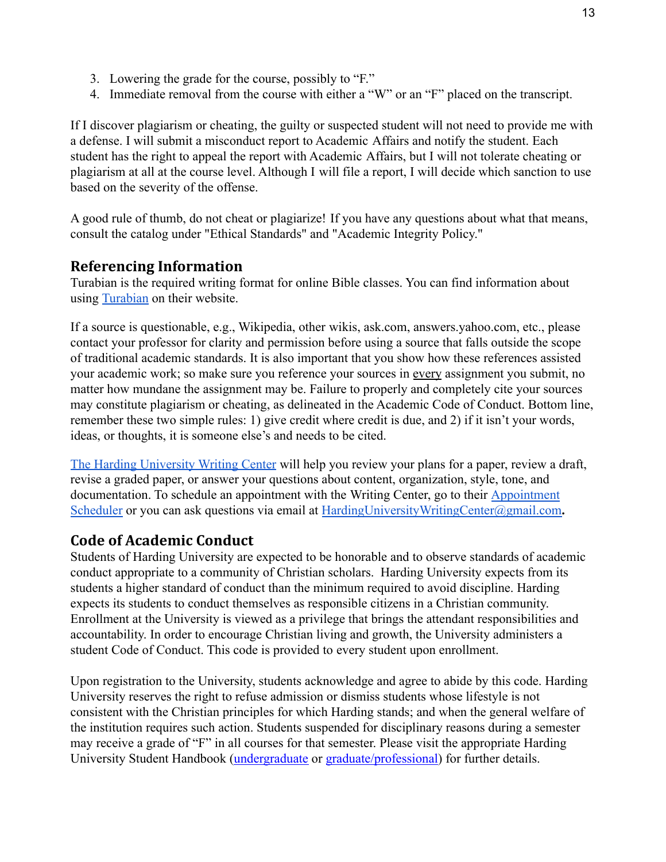- 3. Lowering the grade for the course, possibly to "F."
- 4. Immediate removal from the course with either a "W" or an "F" placed on the transcript.

If I discover plagiarism or cheating, the guilty or suspected student will not need to provide me with a defense. I will submit a misconduct report to Academic Affairs and notify the student. Each student has the right to appeal the report with Academic Affairs, but I will not tolerate cheating or plagiarism at all at the course level. Although I will file a report, I will decide which sanction to use based on the severity of the offense.

A good rule of thumb, do not cheat or plagiarize! If you have any questions about what that means, consult the catalog under "Ethical Standards" and "Academic Integrity Policy."

### **Referencing Information**

Turabian is the required writing format for online Bible classes. You can find information about using [Turabian](https://www.chicagomanualofstyle.org/turabian/citation-guide.html) on their website.

If a source is questionable, e.g., Wikipedia, other wikis, ask.com, answers.yahoo.com, etc., please contact your professor for clarity and permission before using a source that falls outside the scope of traditional academic standards. It is also important that you show how these references assisted your academic work; so make sure you reference your sources in every assignment you submit, no matter how mundane the assignment may be. Failure to properly and completely cite your sources may constitute plagiarism or cheating, as delineated in the Academic Code of Conduct. Bottom line, remember these two simple rules: 1) give credit where credit is due, and 2) if it isn't your words, ideas, or thoughts, it is someone else's and needs to be cited.

[The Harding University Writing Center](https://www.harding.edu/academics/colleges-departments/arts-humanities/english/writing-lab) will help you review your plans for a paper, review a draft, revise a graded paper, or answer your questions about content, organization, style, tone, and documentation. To schedule an appointment with the Writing Center, go to their **[Appointment](https://harding.mywconline.com/)** [Scheduler](https://harding.mywconline.com/) or you can ask questions via email at [HardingUniversityWritingCenter@gmail.com](mailto:HardingUniversityWritingCenter@gmail.com).

# **Code of Academic Conduct**

Students of Harding University are expected to be honorable and to observe standards of academic conduct appropriate to a community of Christian scholars. Harding University expects from its students a higher standard of conduct than the minimum required to avoid discipline. Harding expects its students to conduct themselves as responsible citizens in a Christian community. Enrollment at the University is viewed as a privilege that brings the attendant responsibilities and accountability. In order to encourage Christian living and growth, the University administers a student Code of Conduct. This code is provided to every student upon enrollment.

Upon registration to the University, students acknowledge and agree to abide by this code. Harding University reserves the right to refuse admission or dismiss students whose lifestyle is not consistent with the Christian principles for which Harding stands; and when the general welfare of the institution requires such action. Students suspended for disciplinary reasons during a semester may receive a grade of "F" in all courses for that semester. Please visit the appropriate Harding University Student Handbook [\(undergraduate](https://www.harding.edu/assets/www/student-life/pdf/student_handbook.pdf) or [graduate/professional\)](https://www.harding.edu/assets/www/academics/colleges-departments/graduate-professional/pdf/graduateprofessional_handbook.pdf) for further details.